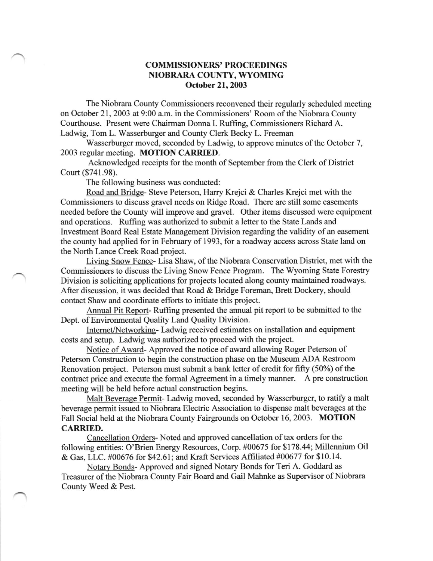## COMMISSIONERS' PROCEEDINGS NIOBRARA COLINTY, WYOMING October 21, 2003

The Niobrara County Commissioners reconvened their regularly scheduled meeting on October 21, 2003 at 9:00 a.m. in the Commissioners' Room of the Niobrara County Courthouse. Present were Chairman Dorura I. Ruffing, Commissioners Richard A. Ladwig, Tom L. Wasserburger and County Clerk Becky L. Freeman

Wasserburger moved, seconded by Ladwig, to approve minutes of the October 7, 2003 regular meeting. MOTION CARRIED.

Acknowledged receipts for the month of September fiom the Clerk of District Court (\$741.98).

The following business was conducted:

Road and Bridqe- Steve Peterson, Harry Krejci & Charles Krejci met with the Commissioners to discuss gravel needs on Ridge Road. There are still some easements needed before the County will improve and gravel. Other items discussed were equipment and operations. Ruffing was authorized to submit a letter to the State Lands and Investment Board Real Estate Management Division regarding the validity of an easement the county had applied for in February of 1993, for a roadway access across State land on the North Lance Creek Road project.

Livinq Snow Fence- Lisa Shaw, of the Niobrara Conservation District, met with the Commissioners to discuss the Living Snow Fence Program. The Wyoming State Forestry Division is soliciting applications for projects located along county maintained roadways. After discussion, it was decided that Road & Bridge Foreman, Brett Dockery, should contact Shaw and coordinate efforts to initiate this project.

Annual Pit Report- Ruffing presented the annual pit report to be submitted to the Dept. of Environmental Quality Land Quality Division.

Intemet/Networkine- Ladwig received estimates on installation and equipment costs and setup. Ladwig was authorized to proceed with the project.

Notice of Award- Approved the notice of award allowing Roger Peterson of Peterson Construction to begin the construction phase on the Museum ADA Restroom Renovation project. Peterson must submit a bank letter of credit for frfty (50%) of the contract price and execute the formal Agreement in a timely manner. A pre construction meeting will be held before actual construction begins.

Malt Beverage Permit- Ladwig moved, seconded by Wasserburger, to ratify a malt beverage permit issued to Niobrara Electric Association to dispense malt beverages at the Fall Social held at the Niobrara County Fairgrounds on October 16, 2003. MOTION CARRIED.

Cancellation Orders- Noted and approved cancellation of tax orders for the following entities: O'Brien Energy Resources, Corp. #00675 for \$178.44; Millennium Oil & Gas, LLC. #00676 for \$42.61; and Kraft Services Affrliated #00677 for \$10.14.

Notary Bonds- Approved and signed Notary Bonds for Teri A. Goddard as Treasurer of the Niobrara County Fair Board and Gail Mahnke as Supervisor of Niobrara County Weed & Pest.